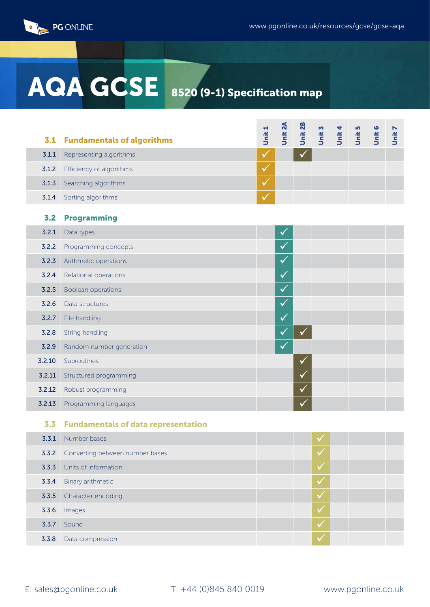

## AQA GCSE 8520 (9-1) Specification map

| 3.1    | <b>Fundamentals of algorithms</b>          | Unit 1       | Unit 2A      | Unit 2B      | Unit 3 | Unit 4 | Unit 5 | 0<br>Unit | Unit 7 |
|--------|--------------------------------------------|--------------|--------------|--------------|--------|--------|--------|-----------|--------|
| 3.1.1  | Representing algorithms                    | $\checkmark$ |              |              |        |        |        |           |        |
| 3.1.2  | Efficiency of algorithms                   | $\checkmark$ |              |              |        |        |        |           |        |
| 3.1.3  | Searching algorithms                       | $\checkmark$ |              |              |        |        |        |           |        |
| 3.1.4  | Sorting algorithms                         |              |              |              |        |        |        |           |        |
| 3.2    | <b>Programming</b>                         |              |              |              |        |        |        |           |        |
| 3.2.1  | Data types                                 |              | $\checkmark$ |              |        |        |        |           |        |
| 3.2.2  | Programming concepts                       |              | $\checkmark$ |              |        |        |        |           |        |
| 3.2.3  | Arithmetic operations                      |              | $\checkmark$ |              |        |        |        |           |        |
| 3.2.4  | Relational operations                      |              | ✓            |              |        |        |        |           |        |
| 3.2.5  | Boolean operations                         |              | $\checkmark$ |              |        |        |        |           |        |
| 3.2.6  | Data structures                            |              | $\checkmark$ |              |        |        |        |           |        |
| 3.2.7  | File handling                              |              | $\checkmark$ |              |        |        |        |           |        |
| 3.2.8  | String handling                            |              | ✓            |              |        |        |        |           |        |
| 3.2.9  | Random number generation                   |              | $\checkmark$ |              |        |        |        |           |        |
| 3.2.10 | Subroutines                                |              |              | ✔            |        |        |        |           |        |
| 3.2.11 | Structured programming                     |              |              | $\checkmark$ |        |        |        |           |        |
| 3.2.12 | Robust programming                         |              |              |              |        |        |        |           |        |
| 3.2.13 | Programming languages                      |              |              |              |        |        |        |           |        |
| 3.3    | <b>Fundamentals of data representation</b> |              |              |              |        |        |        |           |        |
| 3.3.1  | Number bases                               |              |              |              |        |        |        |           |        |
|        |                                            |              |              |              |        |        |        |           |        |

| 3.5.1 | Number bases                                 |  |
|-------|----------------------------------------------|--|
|       | <b>3.3.2</b> Converting between number bases |  |
| 3.3.3 | Units of information                         |  |
| 3.3.4 | Binary arithmetic                            |  |
|       | 3.3.5 Character encoding                     |  |
| 3.3.6 | Images                                       |  |
| 3.3.7 | Sound                                        |  |
| 3.3.8 | Data compression                             |  |
|       |                                              |  |